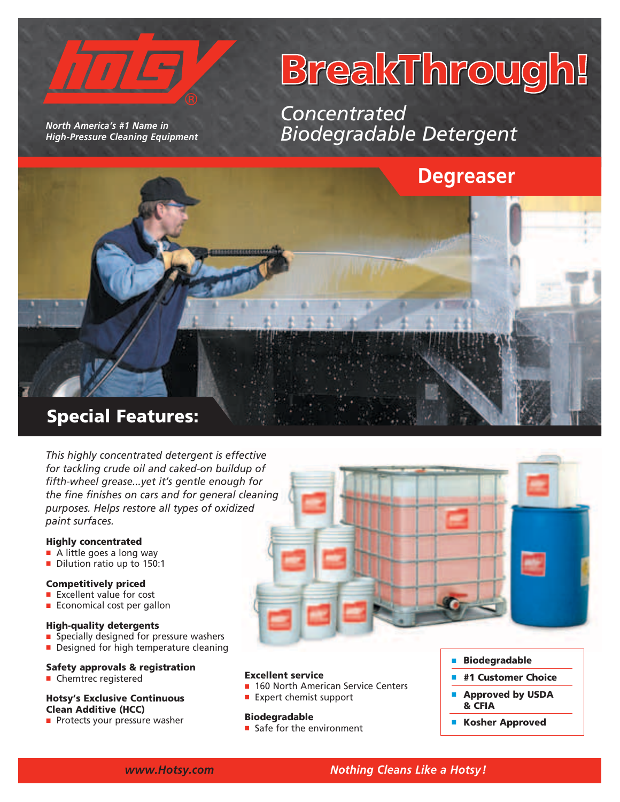

*North America's #1 Name in High-Pressure Cleaning Equipment* 

# BreakThrough!

*Concentrated Biodegradable Detergent*



Special Features:

*This highly concentrated detergent is effective for tackling crude oil and caked-on buildup of fifth-wheel grease...yet it's gentle enough for the fine finishes on cars and for general cleaning purposes. Helps restore all types of oxidized paint surfaces.*

#### Highly concentrated

- $\blacksquare$  A little goes a long way
- Dilution ratio up to 150:1

#### Competitively priced

- $E$  Excellent value for cost
- $\blacksquare$  Economical cost per gallon

#### High-quality detergents

- Specially designed for pressure washers
- Designed for high temperature cleaning

#### Safety approvals & registration

**E** Chemtrec registered

#### Hotsy's Exclusive Continuous Clean Additive (HCC)

**Protects your pressure washer** 



#### Excellent service

- 160 North American Service Centers
- $\blacksquare$  Expert chemist support

#### **Biodegradable**

 $\blacksquare$  Safe for the environment

- **Biodegradable**
- #1 Customer Choice
- Approved by USDA & CFIA
- **E** Kosher Approved